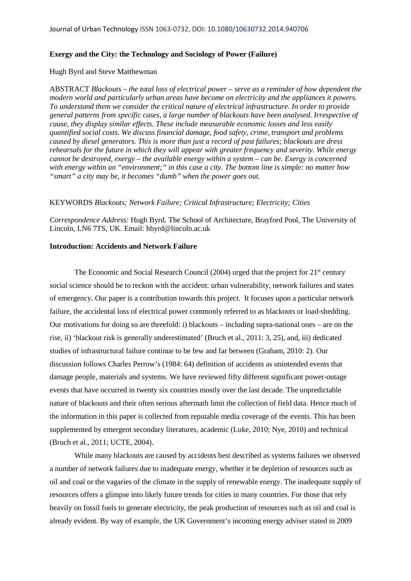#### **Exergy and the City: the Technology and Sociology of Power (Failure)**

### Hugh Byrd and Steve Matthewman

ABSTRACT *Blackouts – the total loss of electrical power – serve as a reminder of how dependent the modern world and particularly urban areas have become on electricity and the appliances it powers. To understand them we consider the critical nature of electrical infrastructure. In order to provide general patterns from specific cases, a large number of blackouts have been analysed. Irrespective of cause, they display similar effects. These include measurable economic losses and less easily quantified social costs. We discuss financial damage, food safety, crime, transport and problems caused by diesel generators. This is more than just a record of past failures; blackouts are dress rehearsals for the future in which they will appear with greater frequency and severity. While energy cannot be destroyed, exergy – the available energy within a system – can be. Exergy is concerned with energy within an "environment;" in this case a city. The bottom line is simple: no matter how "smart" a city may be, it becomes "dumb" when the power goes out.*

#### KEYWORDS *Blackouts; Network Failure; Critical Infrastructure; Electricity; Cities*

*Correspondence Address:* Hugh Byrd. The School of Architecture, Brayford Pool, The University of Lincoln, LN6 7TS, UK. Email: hbyrd@lincoln.ac.uk

#### **Introduction: Accidents and Network Failure**

The Economic and Social Research Council (2004) urged that the project for  $21<sup>st</sup>$  century social science should be to reckon with the accident: urban vulnerability, network failures and states of emergency. Our paper is a contribution towards this project. It focuses upon a particular network failure, the accidental loss of electrical power commonly referred to as blackouts or load-shedding. Our motivations for doing so are threefold: i) blackouts – including supra-national ones – are on the rise, ii) 'blackout risk is generally underestimated' (Bruch et al., 2011: 3, 25), and, iii) dedicated studies of infrastructural failure continue to be few and far between (Graham, 2010: 2). Our discussion follows Charles Perrow's (1984: 64) definition of accidents as unintended events that damage people, materials and systems. We have reviewed fifty different significant power-outage events that have occurred in twenty six countries mostly over the last decade. The unpredictable nature of blackouts and their often serious aftermath limit the collection of field data. Hence much of the information in this paper is collected from reputable media coverage of the events. This has been supplemented by emergent secondary literatures, academic (Luke, 2010; Nye, 2010) and technical (Bruch et al., 2011; UCTE, 2004).

While many blackouts are caused by accidents best described as systems failures we observed a number of network failures due to inadequate energy, whether it be depletion of resources such as oil and coal or the vagaries of the climate in the supply of renewable energy. The inadequate supply of resources offers a glimpse into likely future trends for cities in many countries. For those that rely heavily on fossil fuels to generate electricity, the peak production of resources such as oil and coal is already evident. By way of example, the UK Government's incoming energy adviser stated in 2009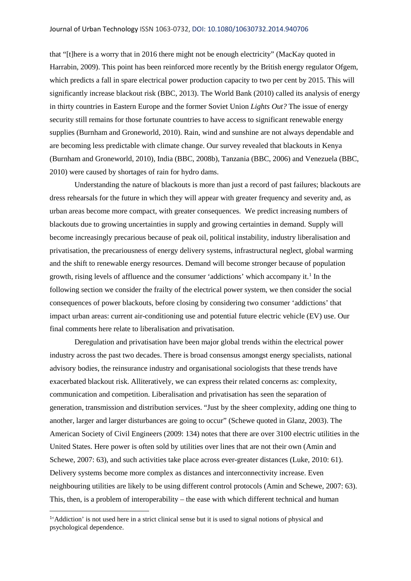that "[t]here is a worry that in 2016 there might not be enough electricity" (MacKay quoted in Harrabin, 2009). This point has been reinforced more recently by the British energy regulator Ofgem, which predicts a fall in spare electrical power production capacity to two per cent by 2015. This will significantly increase blackout risk (BBC, 2013). The World Bank (2010) called its analysis of energy in thirty countries in Eastern Europe and the former Soviet Union *Lights Out?* The issue of energy security still remains for those fortunate countries to have access to significant renewable energy supplies (Burnham and Groneworld, 2010). Rain, wind and sunshine are not always dependable and are becoming less predictable with climate change. Our survey revealed that blackouts in Kenya (Burnham and Groneworld, 2010), India (BBC, 2008b), Tanzania (BBC, 2006) and Venezuela (BBC, 2010) were caused by shortages of rain for hydro dams.

Understanding the nature of blackouts is more than just a record of past failures; blackouts are dress rehearsals for the future in which they will appear with greater frequency and severity and, as urban areas become more compact, with greater consequences. We predict increasing numbers of blackouts due to growing uncertainties in supply and growing certainties in demand. Supply will become increasingly precarious because of peak oil, political instability, industry liberalisation and privatisation, the precariousness of energy delivery systems, infrastructural neglect, global warming and the shift to renewable energy resources. Demand will become stronger because of population growth, rising levels of affluence and the consumer 'addictions' which accompany it.<sup>[1](#page-1-0)</sup> In the following section we consider the frailty of the electrical power system, we then consider the social consequences of power blackouts, before closing by considering two consumer 'addictions' that impact urban areas: current air-conditioning use and potential future electric vehicle (EV) use. Our final comments here relate to liberalisation and privatisation.

Deregulation and privatisation have been major global trends within the electrical power industry across the past two decades. There is broad consensus amongst energy specialists, national advisory bodies, the reinsurance industry and organisational sociologists that these trends have exacerbated blackout risk. Alliteratively, we can express their related concerns as: complexity, communication and competition. Liberalisation and privatisation has seen the separation of generation, transmission and distribution services. "Just by the sheer complexity, adding one thing to another, larger and larger disturbances are going to occur" (Schewe quoted in Glanz, 2003). The American Society of Civil Engineers (2009: 134) notes that there are over 3100 electric utilities in the United States. Here power is often sold by utilities over lines that are not their own (Amin and Schewe, 2007: 63), and such activities take place across ever-greater distances (Luke, 2010: 61). Delivery systems become more complex as distances and interconnectivity increase. Even neighbouring utilities are likely to be using different control protocols (Amin and Schewe, 2007: 63). This, then, is a problem of interoperability – the ease with which different technical and human

<span id="page-1-0"></span> $\frac{1}{1}$ <sup>1</sup>'Addiction' is not used here in a strict clinical sense but it is used to signal notions of physical and psychological dependence.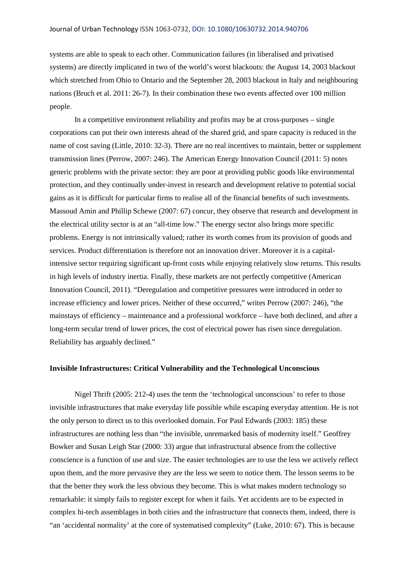systems are able to speak to each other. Communication failures (in liberalised and privatised systems) are directly implicated in two of the world's worst blackouts: the August 14, 2003 blackout which stretched from Ohio to Ontario and the September 28, 2003 blackout in Italy and neighbouring nations (Bruch et al. 2011: 26-7). In their combination these two events affected over 100 million people.

In a competitive environment reliability and profits may be at cross-purposes – single corporations can put their own interests ahead of the shared grid, and spare capacity is reduced in the name of cost saving (Little, 2010: 32-3). There are no real incentives to maintain, better or supplement transmission lines (Perrow, 2007: 246). The American Energy Innovation Council (2011: 5) notes generic problems with the private sector: they are poor at providing public goods like environmental protection, and they continually under-invest in research and development relative to potential social gains as it is difficult for particular firms to realise all of the financial benefits of such investments. Massoud Amin and Phillip Schewe (2007: 67) concur, they observe that research and development in the electrical utility sector is at an "all-time low." The energy sector also brings more specific problems. Energy is not intrinsically valued; rather its worth comes from its provision of goods and services. Product differentiation is therefore not an innovation driver. Moreover it is a capitalintensive sector requiring significant up-front costs while enjoying relatively slow returns. This results in high levels of industry inertia. Finally, these markets are not perfectly competitive (American Innovation Council, 2011). "Deregulation and competitive pressures were introduced in order to increase efficiency and lower prices. Neither of these occurred," writes Perrow (2007: 246), "the mainstays of efficiency – maintenance and a professional workforce – have both declined, and after a long-term secular trend of lower prices, the cost of electrical power has risen since deregulation. Reliability has arguably declined."

## **Invisible Infrastructures: Critical Vulnerability and the Technological Unconscious**

Nigel Thrift (2005: 212-4) uses the term the 'technological unconscious' to refer to those invisible infrastructures that make everyday life possible while escaping everyday attention. He is not the only person to direct us to this overlooked domain. For Paul Edwards (2003: 185) these infrastructures are nothing less than "the invisible, unremarked basis of modernity itself." Geoffrey Bowker and Susan Leigh Star (2000: 33) argue that infrastructural absence from the collective conscience is a function of use and size. The easier technologies are to use the less we actively reflect upon them, and the more pervasive they are the less we seem to notice them. The lesson seems to be that the better they work the less obvious they become. This is what makes modern technology so remarkable: it simply fails to register except for when it fails. Yet accidents are to be expected in complex hi-tech assemblages in both cities and the infrastructure that connects them, indeed, there is "an 'accidental normality' at the core of systematised complexity" (Luke, 2010: 67). This is because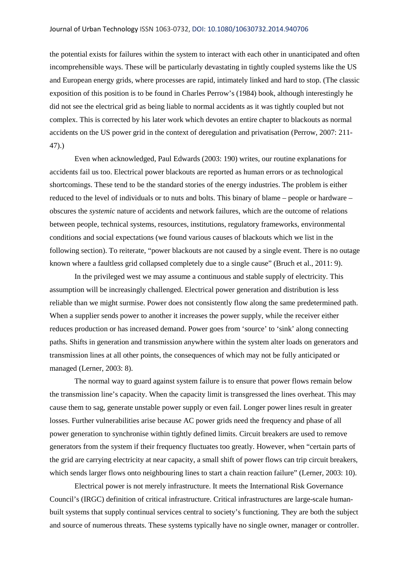the potential exists for failures within the system to interact with each other in unanticipated and often incomprehensible ways. These will be particularly devastating in tightly coupled systems like the US and European energy grids, where processes are rapid, intimately linked and hard to stop. (The classic exposition of this position is to be found in Charles Perrow's (1984) book, although interestingly he did not see the electrical grid as being liable to normal accidents as it was tightly coupled but not complex. This is corrected by his later work which devotes an entire chapter to blackouts as normal accidents on the US power grid in the context of deregulation and privatisation (Perrow, 2007: 211- 47).)

Even when acknowledged, Paul Edwards (2003: 190) writes, our routine explanations for accidents fail us too. Electrical power blackouts are reported as human errors or as technological shortcomings. These tend to be the standard stories of the energy industries. The problem is either reduced to the level of individuals or to nuts and bolts. This binary of blame – people or hardware – obscures the *systemic* nature of accidents and network failures, which are the outcome of relations between people, technical systems, resources, institutions, regulatory frameworks, environmental conditions and social expectations (we found various causes of blackouts which we list in the following section). To reiterate, "power blackouts are not caused by a single event. There is no outage known where a faultless grid collapsed completely due to a single cause" (Bruch et al., 2011: 9).

In the privileged west we may assume a continuous and stable supply of electricity. This assumption will be increasingly challenged. Electrical power generation and distribution is less reliable than we might surmise. Power does not consistently flow along the same predetermined path. When a supplier sends power to another it increases the power supply, while the receiver either reduces production or has increased demand. Power goes from 'source' to 'sink' along connecting paths. Shifts in generation and transmission anywhere within the system alter loads on generators and transmission lines at all other points, the consequences of which may not be fully anticipated or managed (Lerner, 2003: 8).

The normal way to guard against system failure is to ensure that power flows remain below the transmission line's capacity. When the capacity limit is transgressed the lines overheat. This may cause them to sag, generate unstable power supply or even fail. Longer power lines result in greater losses. Further vulnerabilities arise because AC power grids need the frequency and phase of all power generation to synchronise within tightly defined limits. Circuit breakers are used to remove generators from the system if their frequency fluctuates too greatly. However, when "certain parts of the grid are carrying electricity at near capacity, a small shift of power flows can trip circuit breakers, which sends larger flows onto neighbouring lines to start a chain reaction failure" (Lerner, 2003: 10).

Electrical power is not merely infrastructure. It meets the International Risk Governance Council's (IRGC) definition of critical infrastructure. Critical infrastructures are large-scale humanbuilt systems that supply continual services central to society's functioning. They are both the subject and source of numerous threats. These systems typically have no single owner, manager or controller.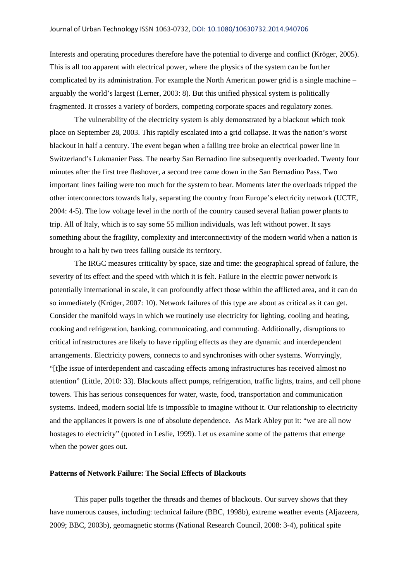Interests and operating procedures therefore have the potential to diverge and conflict (Kröger, 2005). This is all too apparent with electrical power, where the physics of the system can be further complicated by its administration. For example the North American power grid is a single machine – arguably the world's largest (Lerner, 2003: 8). But this unified physical system is politically fragmented. It crosses a variety of borders, competing corporate spaces and regulatory zones.

The vulnerability of the electricity system is ably demonstrated by a blackout which took place on September 28, 2003. This rapidly escalated into a grid collapse. It was the nation's worst blackout in half a century. The event began when a falling tree broke an electrical power line in Switzerland's Lukmanier Pass. The nearby San Bernadino line subsequently overloaded. Twenty four minutes after the first tree flashover, a second tree came down in the San Bernadino Pass. Two important lines failing were too much for the system to bear. Moments later the overloads tripped the other interconnectors towards Italy, separating the country from Europe's electricity network (UCTE, 2004: 4-5). The low voltage level in the north of the country caused several Italian power plants to trip. All of Italy, which is to say some 55 million individuals, was left without power. It says something about the fragility, complexity and interconnectivity of the modern world when a nation is brought to a halt by two trees falling outside its territory.

The IRGC measures criticality by space, size and time: the geographical spread of failure, the severity of its effect and the speed with which it is felt. Failure in the electric power network is potentially international in scale, it can profoundly affect those within the afflicted area, and it can do so immediately (Kröger, 2007: 10). Network failures of this type are about as critical as it can get. Consider the manifold ways in which we routinely use electricity for lighting, cooling and heating, cooking and refrigeration, banking, communicating, and commuting. Additionally, disruptions to critical infrastructures are likely to have rippling effects as they are dynamic and interdependent arrangements. Electricity powers, connects to and synchronises with other systems. Worryingly, "[t]he issue of interdependent and cascading effects among infrastructures has received almost no attention" (Little, 2010: 33). Blackouts affect pumps, refrigeration, traffic lights, trains, and cell phone towers. This has serious consequences for water, waste, food, transportation and communication systems. Indeed, modern social life is impossible to imagine without it. Our relationship to electricity and the appliances it powers is one of absolute dependence. As Mark Abley put it: "we are all now hostages to electricity" (quoted in Leslie, 1999). Let us examine some of the patterns that emerge when the power goes out.

#### **Patterns of Network Failure: The Social Effects of Blackouts**

This paper pulls together the threads and themes of blackouts. Our survey shows that they have numerous causes, including: technical failure (BBC, 1998b), extreme weather events (Aljazeera, 2009; BBC, 2003b), geomagnetic storms (National Research Council, 2008: 3-4), political spite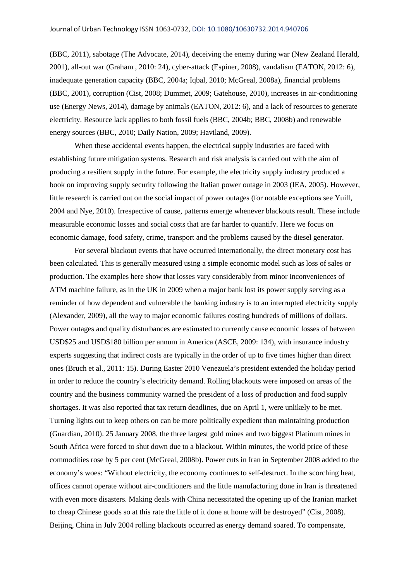(BBC, 2011), sabotage (The Advocate, 2014), deceiving the enemy during war (New Zealand Herald, 2001), all-out war (Graham , 2010: 24), cyber-attack (Espiner, 2008), vandalism (EATON, 2012: 6), inadequate generation capacity (BBC, 2004a; Iqbal, 2010; McGreal, 2008a), financial problems (BBC, 2001), corruption (Cist, 2008; Dummet, 2009; Gatehouse, 2010), increases in air-conditioning use (Energy News, 2014), damage by animals (EATON, 2012: 6), and a lack of resources to generate electricity. Resource lack applies to both fossil fuels (BBC, 2004b; BBC, 2008b) and renewable energy sources (BBC, 2010; Daily Nation, 2009; Haviland, 2009).

When these accidental events happen, the electrical supply industries are faced with establishing future mitigation systems. Research and risk analysis is carried out with the aim of producing a resilient supply in the future. For example, the electricity supply industry produced a book on improving supply security following the Italian power outage in 2003 (IEA, 2005). However, little research is carried out on the social impact of power outages (for notable exceptions see Yuill, 2004 and Nye, 2010). Irrespective of cause, patterns emerge whenever blackouts result. These include measurable economic losses and social costs that are far harder to quantify. Here we focus on economic damage, food safety, crime, transport and the problems caused by the diesel generator.

For several blackout events that have occurred internationally, the direct monetary cost has been calculated. This is generally measured using a simple economic model such as loss of sales or production. The examples here show that losses vary considerably from minor inconveniences of ATM machine failure, as in the UK in 2009 when a major bank lost its power supply serving as a reminder of how dependent and vulnerable the banking industry is to an interrupted electricity supply (Alexander, 2009), all the way to major economic failures costing hundreds of millions of dollars. Power outages and quality disturbances are estimated to currently cause economic losses of between USD\$25 and USD\$180 billion per annum in America (ASCE, 2009: 134), with insurance industry experts suggesting that indirect costs are typically in the order of up to five times higher than direct ones (Bruch et al., 2011: 15). During Easter 2010 Venezuela's president extended the holiday period in order to reduce the country's electricity demand. Rolling blackouts were imposed on areas of the country and the business community warned the president of a loss of production and food supply shortages. It was also reported that tax return deadlines, due on April 1, were unlikely to be met. Turning lights out to keep others on can be more politically expedient than maintaining production (Guardian, 2010). 25 January 2008, the three largest gold mines and two biggest Platinum mines in South Africa were forced to shut down due to a blackout. Within minutes, the world price of these commodities rose by 5 per cent (McGreal, 2008b). Power cuts in Iran in September 2008 added to the economy's woes: "Without electricity, the economy continues to self-destruct. In the scorching heat, offices cannot operate without air-conditioners and the little manufacturing done in Iran is threatened with even more disasters. Making deals with China necessitated the opening up of the Iranian market to cheap Chinese goods so at this rate the little of it done at home will be destroyed" (Cist, 2008). Beijing, China in July 2004 rolling blackouts occurred as energy demand soared. To compensate,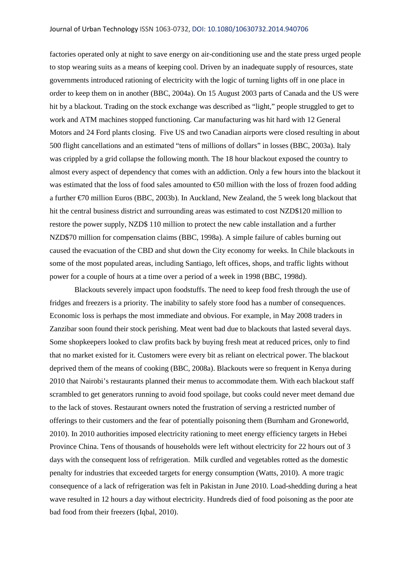factories operated only at night to save energy on air-conditioning use and the state press urged people to stop wearing suits as a means of keeping cool. Driven by an inadequate supply of resources, state governments introduced rationing of electricity with the logic of turning lights off in one place in order to keep them on in another (BBC, 2004a). On 15 August 2003 parts of Canada and the US were hit by a blackout. Trading on the stock exchange was described as "light," people struggled to get to work and ATM machines stopped functioning. Car manufacturing was hit hard with 12 General Motors and 24 Ford plants closing. Five US and two Canadian airports were closed resulting in about 500 flight cancellations and an estimated "tens of millions of dollars" in losses (BBC, 2003a). Italy was crippled by a grid collapse the following month. The 18 hour blackout exposed the country to almost every aspect of dependency that comes with an addiction. Only a few hours into the blackout it was estimated that the loss of food sales amounted to €0 million with the loss of frozen food adding a further €70 million Euros (BBC, 2003b). In Auckland, New Zealand, the 5 week long blackout that hit the central business district and surrounding areas was estimated to cost NZD\$120 million to restore the power supply, NZD\$ 110 million to protect the new cable installation and a further NZD\$70 million for compensation claims (BBC, 1998a). A simple failure of cables burning out caused the evacuation of the CBD and shut down the City economy for weeks. In Chile blackouts in some of the most populated areas, including Santiago, left offices, shops, and traffic lights without power for a couple of hours at a time over a period of a week in 1998 (BBC, 1998d).

Blackouts severely impact upon foodstuffs. The need to keep food fresh through the use of fridges and freezers is a priority. The inability to safely store food has a number of consequences. Economic loss is perhaps the most immediate and obvious. For example, in May 2008 traders in Zanzibar soon found their stock perishing. Meat went bad due to blackouts that lasted several days. Some shopkeepers looked to claw profits back by buying fresh meat at reduced prices, only to find that no market existed for it. Customers were every bit as reliant on electrical power. The blackout deprived them of the means of cooking (BBC, 2008a). Blackouts were so frequent in Kenya during 2010 that Nairobi's restaurants planned their menus to accommodate them. With each blackout staff scrambled to get generators running to avoid food spoilage, but cooks could never meet demand due to the lack of stoves. Restaurant owners noted the frustration of serving a restricted number of offerings to their customers and the fear of potentially poisoning them (Burnham and Groneworld, 2010). In 2010 authorities imposed electricity rationing to meet energy efficiency targets in Hebei Province China. Tens of thousands of households were left without electricity for 22 hours out of 3 days with the consequent loss of refrigeration. Milk curdled and vegetables rotted as the domestic penalty for industries that exceeded targets for energy consumption (Watts, 2010). A more tragic consequence of a lack of refrigeration was felt in Pakistan in June 2010. Load-shedding during a heat wave resulted in 12 hours a day without electricity. Hundreds died of food poisoning as the poor ate bad food from their freezers (Iqbal, 2010).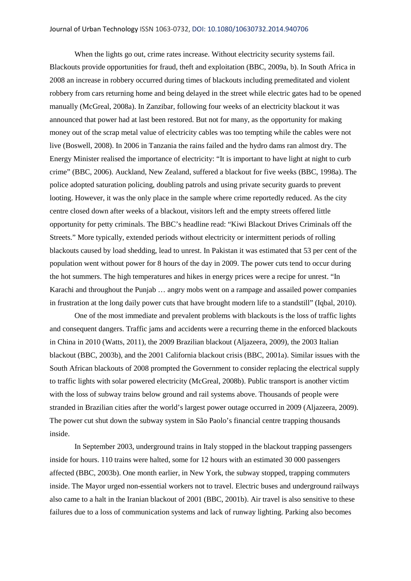When the lights go out, crime rates increase. Without electricity security systems fail. Blackouts provide opportunities for fraud, theft and exploitation (BBC, 2009a, b). In South Africa in 2008 an increase in robbery occurred during times of blackouts including premeditated and violent robbery from cars returning home and being delayed in the street while electric gates had to be opened manually (McGreal, 2008a). In Zanzibar, following four weeks of an electricity blackout it was announced that power had at last been restored. But not for many, as the opportunity for making money out of the scrap metal value of electricity cables was too tempting while the cables were not live (Boswell, 2008). In 2006 in Tanzania the rains failed and the hydro dams ran almost dry. The Energy Minister realised the importance of electricity: "It is important to have light at night to curb crime" (BBC, 2006). Auckland, New Zealand, suffered a blackout for five weeks (BBC, 1998a). The police adopted saturation policing, doubling patrols and using private security guards to prevent looting. However, it was the only place in the sample where crime reportedly reduced. As the city centre closed down after weeks of a blackout, visitors left and the empty streets offered little opportunity for petty criminals. The BBC's headline read: "Kiwi Blackout Drives Criminals off the Streets." More typically, extended periods without electricity or intermittent periods of rolling blackouts caused by load shedding, lead to unrest. In Pakistan it was estimated that 53 per cent of the population went without power for 8 hours of the day in 2009. The power cuts tend to occur during the hot summers. The high temperatures and hikes in energy prices were a recipe for unrest. "In Karachi and throughout the Punjab … angry mobs went on a rampage and assailed power companies in frustration at the long daily power cuts that have brought modern life to a standstill" (Iqbal, 2010).

One of the most immediate and prevalent problems with blackouts is the loss of traffic lights and consequent dangers. Traffic jams and accidents were a recurring theme in the enforced blackouts in China in 2010 (Watts, 2011), the 2009 Brazilian blackout (Aljazeera, 2009), the 2003 Italian blackout (BBC, 2003b), and the 2001 California blackout crisis (BBC, 2001a). Similar issues with the South African blackouts of 2008 prompted the Government to consider replacing the electrical supply to traffic lights with solar powered electricity (McGreal, 2008b). Public transport is another victim with the loss of subway trains below ground and rail systems above. Thousands of people were stranded in Brazilian cities after the world's largest power outage occurred in 2009 (Aljazeera, 2009). The power cut shut down the subway system in São Paolo's financial centre trapping thousands inside.

In September 2003, underground trains in Italy stopped in the blackout trapping passengers inside for hours. 110 trains were halted, some for 12 hours with an estimated 30 000 passengers affected (BBC, 2003b). One month earlier, in New York, the subway stopped, trapping commuters inside. The Mayor urged non-essential workers not to travel. Electric buses and underground railways also came to a halt in the Iranian blackout of 2001 (BBC, 2001b). Air travel is also sensitive to these failures due to a loss of communication systems and lack of runway lighting. Parking also becomes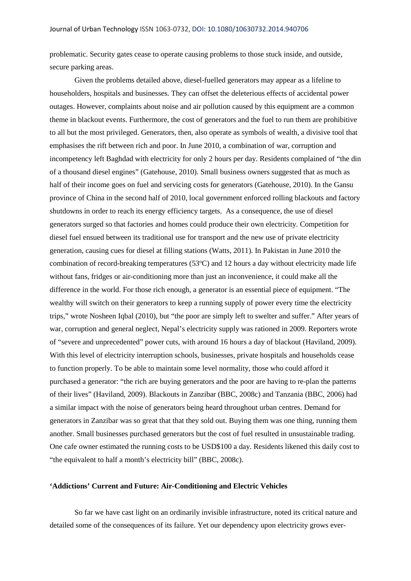problematic. Security gates cease to operate causing problems to those stuck inside, and outside, secure parking areas.

Given the problems detailed above, diesel-fuelled generators may appear as a lifeline to householders, hospitals and businesses. They can offset the deleterious effects of accidental power outages. However, complaints about noise and air pollution caused by this equipment are a common theme in blackout events. Furthermore, the cost of generators and the fuel to run them are prohibitive to all but the most privileged. Generators, then, also operate as symbols of wealth, a divisive tool that emphasises the rift between rich and poor. In June 2010, a combination of war, corruption and incompetency left Baghdad with electricity for only 2 hours per day. Residents complained of "the din of a thousand diesel engines" (Gatehouse, 2010). Small business owners suggested that as much as half of their income goes on fuel and servicing costs for generators (Gatehouse, 2010). In the Gansu province of China in the second half of 2010, local government enforced rolling blackouts and factory shutdowns in order to reach its energy efficiency targets. As a consequence, the use of diesel generators surged so that factories and homes could produce their own electricity. Competition for diesel fuel ensued between its traditional use for transport and the new use of private electricity generation, causing cues for diesel at filling stations (Watts, 2011). In Pakistan in June 2010 the combination of record-breaking temperatures (53°C) and 12 hours a day without electricity made life without fans, fridges or air-conditioning more than just an inconvenience, it could make all the difference in the world. For those rich enough, a generator is an essential piece of equipment. "The wealthy will switch on their generators to keep a running supply of power every time the electricity trips," wrote Nosheen Iqbal (2010), but "the poor are simply left to swelter and suffer." After years of war, corruption and general neglect, Nepal's electricity supply was rationed in 2009. Reporters wrote of "severe and unprecedented" power cuts, with around 16 hours a day of blackout (Haviland, 2009). With this level of electricity interruption schools, businesses, private hospitals and households cease to function properly. To be able to maintain some level normality, those who could afford it purchased a generator: "the rich are buying generators and the poor are having to re-plan the patterns of their lives" (Haviland, 2009). Blackouts in Zanzibar (BBC, 2008c) and Tanzania (BBC, 2006) had a similar impact with the noise of generators being heard throughout urban centres. Demand for generators in Zanzibar was so great that that they sold out. Buying them was one thing, running them another. Small businesses purchased generators but the cost of fuel resulted in unsustainable trading. One cafe owner estimated the running costs to be USD\$100 a day. Residents likened this daily cost to "the equivalent to half a month's electricity bill" (BBC, 2008c).

#### **'Addictions' Current and Future: Air-Conditioning and Electric Vehicles**

So far we have cast light on an ordinarily invisible infrastructure, noted its critical nature and detailed some of the consequences of its failure. Yet our dependency upon electricity grows ever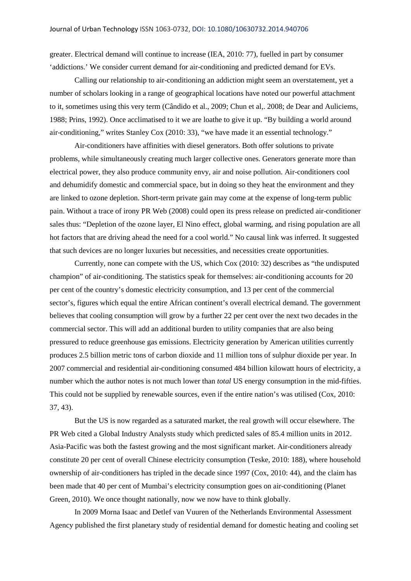greater. Electrical demand will continue to increase (IEA, 2010: 77), fuelled in part by consumer 'addictions.' We consider current demand for air-conditioning and predicted demand for EVs.

Calling our relationship to air-conditioning an addiction might seem an overstatement, yet a number of scholars looking in a range of geographical locations have noted our powerful attachment to it, sometimes using this very term (Cândido et al., 2009; Chun et al,. 2008; de Dear and Auliciems, 1988; Prins, 1992). Once acclimatised to it we are loathe to give it up. "By building a world around air-conditioning," writes Stanley Cox (2010: 33), "we have made it an essential technology."

Air-conditioners have affinities with diesel generators. Both offer solutions to private problems, while simultaneously creating much larger collective ones. Generators generate more than electrical power, they also produce community envy, air and noise pollution. Air-conditioners cool and dehumidify domestic and commercial space, but in doing so they heat the environment and they are linked to ozone depletion. Short-term private gain may come at the expense of long-term public pain. Without a trace of irony PR Web (2008) could open its press release on predicted air-conditioner sales thus: "Depletion of the ozone layer, El Nino effect, global warming, and rising population are all hot factors that are driving ahead the need for a cool world." No causal link was inferred. It suggested that such devices are no longer luxuries but necessities, and necessities create opportunities.

Currently, none can compete with the US, which Cox (2010: 32) describes as "the undisputed champion" of air-conditioning. The statistics speak for themselves: air-conditioning accounts for 20 per cent of the country's domestic electricity consumption, and 13 per cent of the commercial sector's, figures which equal the entire African continent's overall electrical demand. The government believes that cooling consumption will grow by a further 22 per cent over the next two decades in the commercial sector. This will add an additional burden to utility companies that are also being pressured to reduce greenhouse gas emissions. Electricity generation by American utilities currently produces 2.5 billion metric tons of carbon dioxide and 11 million tons of sulphur dioxide per year. In 2007 commercial and residential air-conditioning consumed 484 billion kilowatt hours of electricity, a number which the author notes is not much lower than *total* US energy consumption in the mid-fifties. This could not be supplied by renewable sources, even if the entire nation's was utilised (Cox, 2010: 37, 43).

But the US is now regarded as a saturated market, the real growth will occur elsewhere. The PR Web cited a Global Industry Analysts study which predicted sales of 85.4 million units in 2012. Asia-Pacific was both the fastest growing and the most significant market. Air-conditioners already constitute 20 per cent of overall Chinese electricity consumption (Teske, 2010: 188), where household ownership of air-conditioners has tripled in the decade since 1997 (Cox, 2010: 44), and the claim has been made that 40 per cent of Mumbai's electricity consumption goes on air-conditioning (Planet Green, 2010). We once thought nationally, now we now have to think globally.

In 2009 Morna Isaac and Detlef van Vuuren of the Netherlands Environmental Assessment Agency published the first planetary study of residential demand for domestic heating and cooling set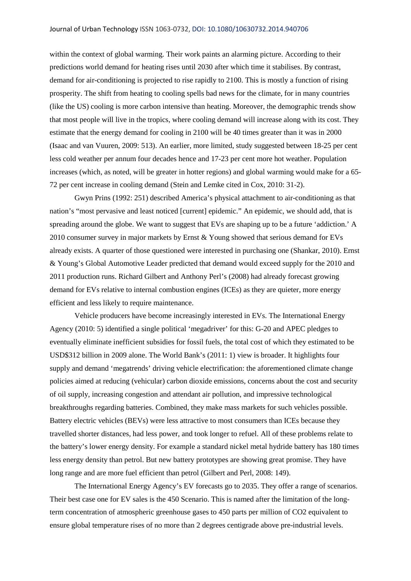within the context of global warming. Their work paints an alarming picture. According to their predictions world demand for heating rises until 2030 after which time it stabilises. By contrast, demand for air-conditioning is projected to rise rapidly to 2100. This is mostly a function of rising prosperity. The shift from heating to cooling spells bad news for the climate, for in many countries (like the US) cooling is more carbon intensive than heating. Moreover, the demographic trends show that most people will live in the tropics, where cooling demand will increase along with its cost. They estimate that the energy demand for cooling in 2100 will be 40 times greater than it was in 2000 (Isaac and van Vuuren, 2009: 513). An earlier, more limited, study suggested between 18-25 per cent less cold weather per annum four decades hence and 17-23 per cent more hot weather. Population increases (which, as noted, will be greater in hotter regions) and global warming would make for a 65- 72 per cent increase in cooling demand (Stein and Lemke cited in Cox, 2010: 31-2).

Gwyn Prins (1992: 251) described America's physical attachment to air-conditioning as that nation's "most pervasive and least noticed [current] epidemic." An epidemic, we should add, that is spreading around the globe. We want to suggest that EVs are shaping up to be a future 'addiction.' A 2010 consumer survey in major markets by Ernst & Young showed that serious demand for EVs already exists. A quarter of those questioned were interested in purchasing one (Shankar, 2010). Ernst & Young's Global Automotive Leader predicted that demand would exceed supply for the 2010 and 2011 production runs. Richard Gilbert and Anthony Perl's (2008) had already forecast growing demand for EVs relative to internal combustion engines (ICEs) as they are quieter, more energy efficient and less likely to require maintenance.

Vehicle producers have become increasingly interested in EVs. The International Energy Agency (2010: 5) identified a single political 'megadriver' for this: G-20 and APEC pledges to eventually eliminate inefficient subsidies for fossil fuels, the total cost of which they estimated to be USD\$312 billion in 2009 alone. The World Bank's (2011: 1) view is broader. It highlights four supply and demand 'megatrends' driving vehicle electrification: the aforementioned climate change policies aimed at reducing (vehicular) carbon dioxide emissions, concerns about the cost and security of oil supply, increasing congestion and attendant air pollution, and impressive technological breakthroughs regarding batteries. Combined, they make mass markets for such vehicles possible. Battery electric vehicles (BEVs) were less attractive to most consumers than ICEs because they travelled shorter distances, had less power, and took longer to refuel. All of these problems relate to the battery's lower energy density. For example a standard nickel metal hydride battery has 180 times less energy density than petrol. But new battery prototypes are showing great promise. They have long range and are more fuel efficient than petrol (Gilbert and Perl, 2008: 149).

The International Energy Agency's EV forecasts go to 2035. They offer a range of scenarios. Their best case one for EV sales is the 450 Scenario. This is named after the limitation of the longterm concentration of atmospheric greenhouse gases to 450 parts per million of CO2 equivalent to ensure global temperature rises of no more than 2 degrees centigrade above pre-industrial levels.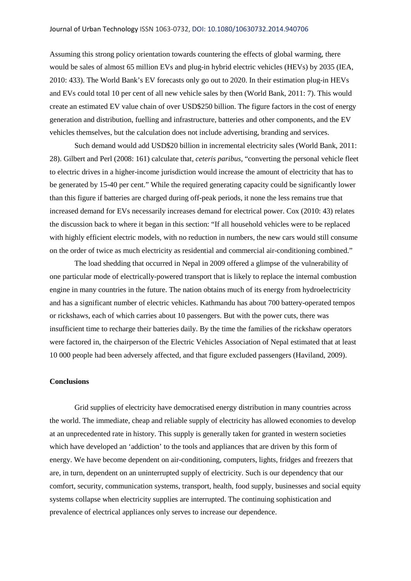Assuming this strong policy orientation towards countering the effects of global warming, there would be sales of almost 65 million EVs and plug-in hybrid electric vehicles (HEVs) by 2035 (IEA, 2010: 433). The World Bank's EV forecasts only go out to 2020. In their estimation plug-in HEVs and EVs could total 10 per cent of all new vehicle sales by then (World Bank, 2011: 7). This would create an estimated EV value chain of over USD\$250 billion. The figure factors in the cost of energy generation and distribution, fuelling and infrastructure, batteries and other components, and the EV vehicles themselves, but the calculation does not include advertising, branding and services.

Such demand would add USD\$20 billion in incremental electricity sales (World Bank, 2011: 28). Gilbert and Perl (2008: 161) calculate that, *ceteris paribus*, "converting the personal vehicle fleet to electric drives in a higher-income jurisdiction would increase the amount of electricity that has to be generated by 15-40 per cent." While the required generating capacity could be significantly lower than this figure if batteries are charged during off-peak periods, it none the less remains true that increased demand for EVs necessarily increases demand for electrical power. Cox (2010: 43) relates the discussion back to where it began in this section: "If all household vehicles were to be replaced with highly efficient electric models, with no reduction in numbers, the new cars would still consume on the order of twice as much electricity as residential and commercial air-conditioning combined."

The load shedding that occurred in Nepal in 2009 offered a glimpse of the vulnerability of one particular mode of electrically-powered transport that is likely to replace the internal combustion engine in many countries in the future. The nation obtains much of its energy from hydroelectricity and has a significant number of electric vehicles. Kathmandu has about 700 battery-operated tempos or rickshaws, each of which carries about 10 passengers. But with the power cuts, there was insufficient time to recharge their batteries daily. By the time the families of the rickshaw operators were factored in, the chairperson of the Electric Vehicles Association of Nepal estimated that at least 10 000 people had been adversely affected, and that figure excluded passengers (Haviland, 2009).

## **Conclusions**

Grid supplies of electricity have democratised energy distribution in many countries across the world. The immediate, cheap and reliable supply of electricity has allowed economies to develop at an unprecedented rate in history. This supply is generally taken for granted in western societies which have developed an 'addiction' to the tools and appliances that are driven by this form of energy. We have become dependent on air-conditioning, computers, lights, fridges and freezers that are, in turn, dependent on an uninterrupted supply of electricity. Such is our dependency that our comfort, security, communication systems, transport, health, food supply, businesses and social equity systems collapse when electricity supplies are interrupted. The continuing sophistication and prevalence of electrical appliances only serves to increase our dependence.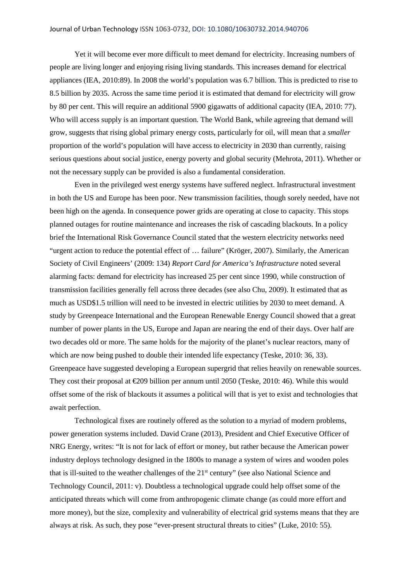Yet it will become ever more difficult to meet demand for electricity. Increasing numbers of people are living longer and enjoying rising living standards. This increases demand for electrical appliances (IEA, 2010:89). In 2008 the world's population was 6.7 billion. This is predicted to rise to 8.5 billion by 2035. Across the same time period it is estimated that demand for electricity will grow by 80 per cent. This will require an additional 5900 gigawatts of additional capacity (IEA, 2010: 77). Who will access supply is an important question. The World Bank, while agreeing that demand will grow, suggests that rising global primary energy costs, particularly for oil, will mean that a *smaller* proportion of the world's population will have access to electricity in 2030 than currently, raising serious questions about social justice, energy poverty and global security (Mehrota, 2011). Whether or not the necessary supply can be provided is also a fundamental consideration.

Even in the privileged west energy systems have suffered neglect. Infrastructural investment in both the US and Europe has been poor. New transmission facilities, though sorely needed, have not been high on the agenda. In consequence power grids are operating at close to capacity. This stops planned outages for routine maintenance and increases the risk of cascading blackouts. In a policy brief the International Risk Governance Council stated that the western electricity networks need "urgent action to reduce the potential effect of … failure" (Kröger, 2007). Similarly, the American Society of Civil Engineers' (2009: 134) *Report Card for America's Infrastructure* noted several alarming facts: demand for electricity has increased 25 per cent since 1990, while construction of transmission facilities generally fell across three decades (see also Chu, 2009). It estimated that as much as USD\$1.5 trillion will need to be invested in electric utilities by 2030 to meet demand. A study by Greenpeace International and the European Renewable Energy Council showed that a great number of power plants in the US, Europe and Japan are nearing the end of their days. Over half are two decades old or more. The same holds for the majority of the planet's nuclear reactors, many of which are now being pushed to double their intended life expectancy (Teske, 2010: 36, 33). Greenpeace have suggested developing a European supergrid that relies heavily on renewable sources. They cost their proposal at  $\text{\textsterling}09$  billion per annum until 2050 (Teske, 2010: 46). While this would offset some of the risk of blackouts it assumes a political will that is yet to exist and technologies that await perfection.

Technological fixes are routinely offered as the solution to a myriad of modern problems, power generation systems included. David Crane (2013), President and Chief Executive Officer of NRG Energy, writes: "It is not for lack of effort or money, but rather because the American power industry deploys technology designed in the 1800s to manage a system of wires and wooden poles that is ill-suited to the weather challenges of the 21st century" (see also National Science and Technology Council, 2011: v). Doubtless a technological upgrade could help offset some of the anticipated threats which will come from anthropogenic climate change (as could more effort and more money), but the size, complexity and vulnerability of electrical grid systems means that they are always at risk. As such, they pose "ever-present structural threats to cities" (Luke, 2010: 55).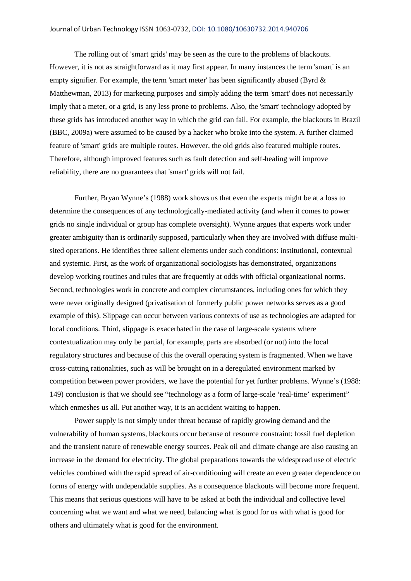#### Journal of Urban Technology ISSN 1063-0732, DOI: 10.1080/10630732.2014.940706

The rolling out of 'smart grids' may be seen as the cure to the problems of blackouts. However, it is not as straightforward as it may first appear. In many instances the term 'smart' is an empty signifier. For example, the term 'smart meter' has been significantly abused (Byrd  $\&$ Matthewman, 2013) for marketing purposes and simply adding the term 'smart' does not necessarily imply that a meter, or a grid, is any less prone to problems. Also, the 'smart' technology adopted by these grids has introduced another way in which the grid can fail. For example, the blackouts in Brazil (BBC, 2009a) were assumed to be caused by a hacker who broke into the system. A further claimed feature of 'smart' grids are multiple routes. However, the old grids also featured multiple routes. Therefore, although improved features such as fault detection and self-healing will improve reliability, there are no guarantees that 'smart' grids will not fail.

Further, Bryan Wynne's (1988) work shows us that even the experts might be at a loss to determine the consequences of any technologically-mediated activity (and when it comes to power grids no single individual or group has complete oversight). Wynne argues that experts work under greater ambiguity than is ordinarily supposed, particularly when they are involved with diffuse multisited operations. He identifies three salient elements under such conditions: institutional, contextual and systemic. First, as the work of organizational sociologists has demonstrated, organizations develop working routines and rules that are frequently at odds with official organizational norms. Second, technologies work in concrete and complex circumstances, including ones for which they were never originally designed (privatisation of formerly public power networks serves as a good example of this). Slippage can occur between various contexts of use as technologies are adapted for local conditions. Third, slippage is exacerbated in the case of large-scale systems where contextualization may only be partial, for example, parts are absorbed (or not) into the local regulatory structures and because of this the overall operating system is fragmented. When we have cross-cutting rationalities, such as will be brought on in a deregulated environment marked by competition between power providers, we have the potential for yet further problems. Wynne's (1988: 149) conclusion is that we should see "technology as a form of large-scale 'real-time' experiment" which enmeshes us all. Put another way, it is an accident waiting to happen.

Power supply is not simply under threat because of rapidly growing demand and the vulnerability of human systems, blackouts occur because of resource constraint: fossil fuel depletion and the transient nature of renewable energy sources. Peak oil and climate change are also causing an increase in the demand for electricity. The global preparations towards the widespread use of electric vehicles combined with the rapid spread of air-conditioning will create an even greater dependence on forms of energy with undependable supplies. As a consequence blackouts will become more frequent. This means that serious questions will have to be asked at both the individual and collective level concerning what we want and what we need, balancing what is good for us with what is good for others and ultimately what is good for the environment.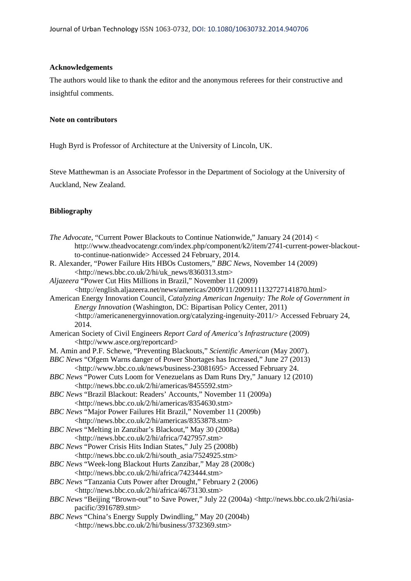# **Acknowledgements**

The authors would like to thank the editor and the anonymous referees for their constructive and insightful comments.

# **Note on contributors**

Hugh Byrd is Professor of Architecture at the University of Lincoln, UK.

Steve Matthewman is an Associate Professor in the Department of Sociology at the University of Auckland, New Zealand.

# **Bibliography**

| <i>The Advocate</i> , "Current Power Blackouts to Continue Nationwide," January 24 (2014) <                                |
|----------------------------------------------------------------------------------------------------------------------------|
| http://www.theadvocatengr.com/index.php/component/k2/item/2741-current-power-blackout-                                     |
| to-continue-nationwide> Accessed 24 February, 2014.                                                                        |
| R. Alexander, "Power Failure Hits HBOs Customers," BBC News, November 14 (2009)                                            |
| <http: 2="" 8360313.stm="" hi="" news.bbc.co.uk="" uk_news=""></http:>                                                     |
| Aljazeera "Power Cut Hits Millions in Brazil," November 11 (2009)                                                          |
| <http: 11="" 2009="" 2009111132727141870.html="" americas="" english.aljazeera.net="" news=""></http:>                     |
| American Energy Innovation Council, Catalyzing American Ingenuity: The Role of Government in                               |
| Energy Innovation (Washington, DC: Bipartisan Policy Center, 2011)                                                         |
| <http: americanenergyinnovation.org="" catalyzing-ingenuity-2011=""></http:> Accessed February 24,                         |
| 2014.                                                                                                                      |
| American Society of Civil Engineers Report Card of America's Infrastructure (2009)                                         |
| <http: reportcard="" www.asce.org=""></http:>                                                                              |
| M. Amin and P.F. Schewe, "Preventing Blackouts," Scientific American (May 2007).                                           |
| BBC News "Ofgem Warns danger of Power Shortages has Increased," June 27 (2013)                                             |
| <http: business-23081695="" news="" www.bbc.co.uk=""> Accessed February 24.</http:>                                        |
| BBC News "Power Cuts Loom for Venezuelans as Dam Runs Dry," January 12 (2010)                                              |
| <http: 2="" 8455592.stm="" americas="" hi="" news.bbc.co.uk=""></http:>                                                    |
| BBC News "Brazil Blackout: Readers' Accounts," November 11 (2009a)                                                         |
| <http: 2="" 8354630.stm="" americas="" hi="" news.bbc.co.uk=""></http:>                                                    |
| BBC News "Major Power Failures Hit Brazil," November 11 (2009b)                                                            |
| <http: 2="" 8353878.stm="" americas="" hi="" news.bbc.co.uk=""></http:>                                                    |
| BBC News "Melting in Zanzibar's Blackout," May 30 (2008a)                                                                  |
| <http: 2="" 7427957.stm="" africa="" hi="" news.bbc.co.uk=""></http:>                                                      |
| BBC News "Power Crisis Hits Indian States," July 25 (2008b)                                                                |
| <http: 2="" 7524925.stm="" hi="" news.bbc.co.uk="" south_asia=""></http:>                                                  |
| BBC News "Week-long Blackout Hurts Zanzibar," May 28 (2008c)                                                               |
| <http: 2="" 7423444.stm="" africa="" hi="" news.bbc.co.uk=""></http:>                                                      |
| BBC News "Tanzania Cuts Power after Drought," February 2 (2006)                                                            |
| <http: 2="" 4673130.stm="" africa="" hi="" news.bbc.co.uk=""></http:>                                                      |
| BBC News "Beijing "Brown-out" to Save Power," July 22 (2004a) <http: 2="" asia-<="" hi="" news.bbc.co.uk="" td=""></http:> |
| pacific/3916789.stm>                                                                                                       |
| BBC News "China's Energy Supply Dwindling," May 20 (2004b)                                                                 |
| <http: 2="" 3732369.stm="" business="" hi="" news.bbc.co.uk=""></http:>                                                    |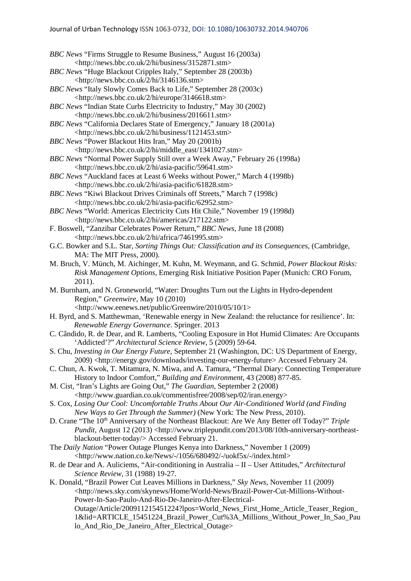- *BBC News* "Firms Struggle to Resume Business," August 16 (2003a) [<http://news.bbc.co.uk/2/hi/business/3152871.stm>](http://news.bbc.co.uk/2/hi/business/3152871.stm)
- *BBC News* "Huge Blackout Cripples Italy," September 28 (2003b)  $\langle$ http://news.bbc.co.uk/2/hi/3146136.stm>
- *BBC News* "Italy Slowly Comes Back to Life," September 28 (2003c) [<http://news.bbc.co.uk/2/hi/europe/3146618.stm>](http://news.bbc.co.uk/2/hi/europe/3146618.stm)
- *BBC News* "Indian State Curbs Electricity to Industry," May 30 (2002) [<http://news.bbc.co.uk/2/hi/business/2016611.stm>](http://news.bbc.co.uk/2/hi/business/2016611.stm)
- *BBC News* "California Declares State of Emergency," January 18 (2001a) [<http://news.bbc.co.uk/2/hi/business/1121453.stm>](http://news.bbc.co.uk/2/hi/business/1121453.stm)
- *BBC News* "Power Blackout Hits Iran," May 20 (2001b)
	- [<http://news.bbc.co.uk/2/hi/middle\\_east/1341027.stm>](http://news.bbc.co.uk/2/hi/middle_east/1341027.stm)
- *BBC News* "Normal Power Supply Still over a Week Away," February 26 (1998a) [<http://news.bbc.co.uk/2/hi/asia-pacific/59641.stm>](http://news.bbc.co.uk/2/hi/asia-pacific/59641.stm)
- *BBC News* "Auckland faces at Least 6 Weeks without Power," March 4 (1998b) [<http://news.bbc.co.uk/2/hi/asia-pacific/61828.stm>](http://news.bbc.co.uk/2/hi/asia-pacific/61828.stm)
- *BBC News* "Kiwi Blackout Drives Criminals off Streets," March 7 (1998c) [<http://news.bbc.co.uk/2/hi/asia-pacific/62952.stm>](http://news.bbc.co.uk/2/hi/asia-pacific/62952.stm)
- *BBC News* "World: Americas Electricity Cuts Hit Chile," November 19 (1998d) [<http://news.bbc.co.uk/2/hi/americas/217122.stm>](http://news.bbc.co.uk/2/hi/americas/217122.stm)
- F. Boswell, "Zanzibar Celebrates Power Return," *BBC News*, June 18 (2008) [<http://news.bbc.co.uk/2/hi/africa/7461995.stm>](http://news.bbc.co.uk/2/hi/africa/7461995.stm)
- G.C. Bowker and S.L. Star, *Sorting Things Out: Classification and its Consequences*, (Cambridge, MA: The MIT Press, 2000).
- M. Bruch, V. Münch, M. Aichinger, M. Kuhn, M. Weymann, and G. Schmid, *Power Blackout Risks: Risk Management Options*, Emerging Risk Initiative Position Paper (Munich: CRO Forum, 2011).
- M. Burnham, and N. Groneworld, "Water: Droughts Turn out the Lights in Hydro-dependent Region," *Greenwire*, May 10 (2010)
	- [<http://www.eenews.net/public/Greenwire/2010/05/10/1>](http://www.eenews.net/public/Greenwire/2010/05/10/1)
- H. Byrd, and S. Matthewman, 'Renewable energy in New Zealand: the reluctance for resilience'. In: *Renewable Energy Governance*. Springer. 2013
- C. Cândido, R. de Dear, and R. Lamberts, "Cooling Exposure in Hot Humid Climates: Are Occupants 'Addicted'?" *Architectural Science Review*, 5 (2009) 59-64.
- S. Chu, *Investing in Our Energy Future*, September 21 (Washington, DC: US Department of Energy, 2009) <http://energy.gov/downloads/investing-our-energy-future> Accessed February 24.
- C. Chun, A. Kwok, T. Mitamura, N. Miwa, and A. Tamura, "Thermal Diary: Connecting Temperature History to Indoor Comfort," *Building and Environment*, 43 (2008) 877-85.
- M. Cist, "Iran's Lights are Going Out," *The Guardian*, September 2 (2008) [<http://www.guardian.co.uk/commentisfree/2008/sep/02/iran.energy>](http://www.guardian.co.uk/commentisfree/2008/sep/02/iran.energy)
- S. Cox, *Losing Our Cool: Uncomfortable Truths About Our Air-Conditioned World (and Finding New Ways to Get Through the Summer)* (New York: The New Press, 2010).
- D. Crane "The 10<sup>th</sup> Anniversary of the Northeast Blackout: Are We Any Better off Today?" *Triple Pundit*, August 12 (2013) [<http://www.triplepundit.com/2013/08/10th-anniversary-northeast](http://www.triplepundit.com/2013/08/10th-anniversary-northeast-blackout-better-today/)[blackout-better-today/>](http://www.triplepundit.com/2013/08/10th-anniversary-northeast-blackout-better-today/) Accessed February 21.
- The *Daily Nation* "Power Outage Plunges Kenya into Darkness," November 1 (2009) [<http://www.nation.co.ke/News/-/1056/680492/-/uokf5x/-/index.html>](http://www.nation.co.ke/News/-/1056/680492/-/uokf5x/-/index.html)
- R. de Dear and A. Auliciems, "Air-conditioning in Australia II User Attitudes," *Architectural Science Review*, 31 (1988) 19-27.
- K. Donald, "Brazil Power Cut Leaves Millions in Darkness," *Sky News*, November 11 (2009) [<http://news.sky.com/skynews/Home/World-News/Brazil-Power-Cut-Millions-Without-](http://news.sky.com/skynews/Home/World-News/Brazil-Power-Cut-Millions-Without-Power-In-Sao-Paulo-And-Rio-De-Janeiro-After-Electrical-Outage/Article/200911215451224?lpos=World_News_First_Home_Article_Teaser_Region_1&lid=ARTICLE_15451224_Brazil_Power_Cut%3A_Millions_Without_Power_In_Sao_Paulo_And_Rio_De_Janeiro_After_Electrical_Outage)[Power-In-Sao-Paulo-And-Rio-De-Janeiro-After-Electrical-](http://news.sky.com/skynews/Home/World-News/Brazil-Power-Cut-Millions-Without-Power-In-Sao-Paulo-And-Rio-De-Janeiro-After-Electrical-Outage/Article/200911215451224?lpos=World_News_First_Home_Article_Teaser_Region_1&lid=ARTICLE_15451224_Brazil_Power_Cut%3A_Millions_Without_Power_In_Sao_Paulo_And_Rio_De_Janeiro_After_Electrical_Outage)[Outage/Article/200911215451224?lpos=World\\_News\\_First\\_Home\\_Article\\_Teaser\\_Region\\_](http://news.sky.com/skynews/Home/World-News/Brazil-Power-Cut-Millions-Without-Power-In-Sao-Paulo-And-Rio-De-Janeiro-After-Electrical-Outage/Article/200911215451224?lpos=World_News_First_Home_Article_Teaser_Region_1&lid=ARTICLE_15451224_Brazil_Power_Cut%3A_Millions_Without_Power_In_Sao_Paulo_And_Rio_De_Janeiro_After_Electrical_Outage) [1&lid=ARTICLE\\_15451224\\_Brazil\\_Power\\_Cut%3A\\_Millions\\_Without\\_Power\\_In\\_Sao\\_Pau](http://news.sky.com/skynews/Home/World-News/Brazil-Power-Cut-Millions-Without-Power-In-Sao-Paulo-And-Rio-De-Janeiro-After-Electrical-Outage/Article/200911215451224?lpos=World_News_First_Home_Article_Teaser_Region_1&lid=ARTICLE_15451224_Brazil_Power_Cut%3A_Millions_Without_Power_In_Sao_Paulo_And_Rio_De_Janeiro_After_Electrical_Outage) lo And Rio De Janeiro After Electrical Outage>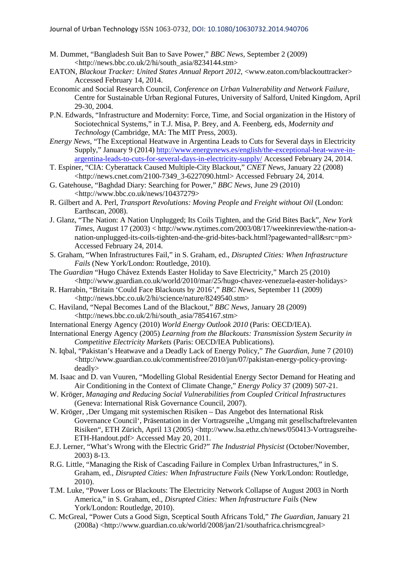- M. Dummet, "Bangladesh Suit Ban to Save Power," *BBC News*, September 2 (2009) [<http://news.bbc.co.uk/2/hi/south\\_asia/8234144.stm>](http://news.bbc.co.uk/2/hi/south_asia/8234144.stm)
- EATON, *Blackout Tracker: United States Annual Report 2012*, <www.eaton.com/blackouttracker> Accessed February 14, 2014.
- Economic and Social Research Council, *Conference on Urban Vulnerability and Network Failure*, Centre for Sustainable Urban Regional Futures, University of Salford, United Kingdom, April 29-30, 2004.
- P.N. Edwards, "Infrastructure and Modernity: Force, Time, and Social organization in the History of Sociotechnical Systems," in T.J. Misa, P. Brey, and A. Feenberg, eds, *Modernity and Technology* (Cambridge, MA: The MIT Press, 2003).
- *Energy News*, "The Exceptional Heatwave in Argentina Leads to Cuts for Several days in Electricity Supply," January 9 (2014) [http://www.energynews.es/english/the-exceptional-heat-wave-in](http://www.energynews.es/english/the-exceptional-heat-wave-in-argentina-leads-to-cuts-for-several-days-in-electricity-supply/)[argentina-leads-to-cuts-for-several-days-in-electricity-supply/](http://www.energynews.es/english/the-exceptional-heat-wave-in-argentina-leads-to-cuts-for-several-days-in-electricity-supply/) Accessed February 24, 2014.
- T. Espiner, "CIA: Cyberattack Caused Multiple-City Blackout," *CNET News*, January 22 (2008) <http://news.cnet.com/2100-7349\_3-6227090.html> Accessed February 24, 2014.
- G. Gatehouse, "Baghdad Diary: Searching for Power," *BBC News*, June 29 (2010) [<http://www.bbc.co.uk/news/10437279>](http://www.bbc.co.uk/news/10437279)
- R. Gilbert and A. Perl, *Transport Revolutions: Moving People and Freight without Oil* (London: Earthscan, 2008).
- J. Glanz, "The Nation: A Nation Unplugged; Its Coils Tighten, and the Grid Bites Back", *New York Times*, August 17 (2003) < http://www.nytimes.com/2003/08/17/weekinreview/the-nation-anation-unplugged-its-coils-tighten-and-the-grid-bites-back.html?pagewanted=all&src=pm> Accessed February 24, 2014.
- S. Graham, "When Infrastructures Fail," in S. Graham, ed., *Disrupted Cities: When Infrastructure Fails* (New York/London: Routledge, 2010).
- The *Guardian* "Hugo Chávez Extends Easter Holiday to Save Electricity," March 25 (2010) [<http://www.guardian.co.uk/world/2010/mar/25/hugo-chavez-venezuela-easter-holidays>](http://www.guardian.co.uk/world/2010/mar/25/hugo-chavez-venezuela-easter-holidays)
- R. Harrabin, "Britain 'Could Face Blackouts by 2016'," *BBC News*, September 11 (2009) [<http://news.bbc.co.uk/2/hi/science/nature/8249540.stm>](http://news.bbc.co.uk/2/hi/science/nature/8249540.stm)
- C. Haviland, "Nepal Becomes Land of the Blackout," *BBC News*, January 28 (2009) [<http://news.bbc.co.uk/2/hi/south\\_asia/7854167.stm>](http://news.bbc.co.uk/2/hi/south_asia/7854167.stm)
- International Energy Agency (2010) *World Energy Outlook 2010* (Paris: OECD/IEA).
- International Energy Agency (2005) *Learning from the Blackouts: Transmission System Security in Competitive Electricity Markets* (Paris: OECD/IEA Publications).
- N. Iqbal, "Pakistan's Heatwave and a Deadly Lack of Energy Policy," *The Guardian*, June 7 (2010) [<http://www.guardian.co.uk/commentisfree/2010/jun/07/pakistan-energy-policy-proving](http://www.guardian.co.uk/commentisfree/2010/jun/07/pakistan-energy-policy-proving-deadly)[deadly>](http://www.guardian.co.uk/commentisfree/2010/jun/07/pakistan-energy-policy-proving-deadly)
- M. Isaac and D. van Vuuren, "Modelling Global Residential Energy Sector Demand for Heating and Air Conditioning in the Context of Climate Change," *Energy Policy* 37 (2009) 507-21.
- W. Kröger, *Managing and Reducing Social Vulnerabilities from Coupled Critical Infrastructures* (Geneva: International Risk Governance Council, 2007).
- W. Kröger, 'Der Umgang mit systemischen Risiken Das Angebot des International Risk Governance Council', Präsentation in der Vortragsreihe "Umgang mit gesellschaftrelevanten Risiken", ETH Zürich, April 13 (2005) [<http://www.lsa.ethz.ch/news/050413-Vortragsreihe-](http://www.lsa.ethz.ch/news/050413-Vortragsreihe-ETH-Handout.pdf)[ETH-Handout.pdf>](http://www.lsa.ethz.ch/news/050413-Vortragsreihe-ETH-Handout.pdf) Accessed May 20, 2011.
- E.J. Lerner, "What's Wrong with the Electric Grid?" *The Industrial Physicist* (October/November, 2003) 8-13.
- R.G. Little, "Managing the Risk of Cascading Failure in Complex Urban Infrastructures," in S. Graham, ed., *Disrupted Cities: When Infrastructure Fails* (New York/London: Routledge, 2010).
- T.M. Luke, "Power Loss or Blackouts: The Electricity Network Collapse of August 2003 in North America," in S. Graham, ed., *Disrupted Cities: When Infrastructure Fails* (New York/London: Routledge, 2010).
- C. McGreal, "Power Cuts a Good Sign, Sceptical South Africans Told," *The Guardian*, January 21 (2008a) [<http://www.guardian.co.uk/world/2008/jan/21/southafrica.chrismcgreal>](http://www.guardian.co.uk/world/2008/jan/21/southafrica.chrismcgreal)